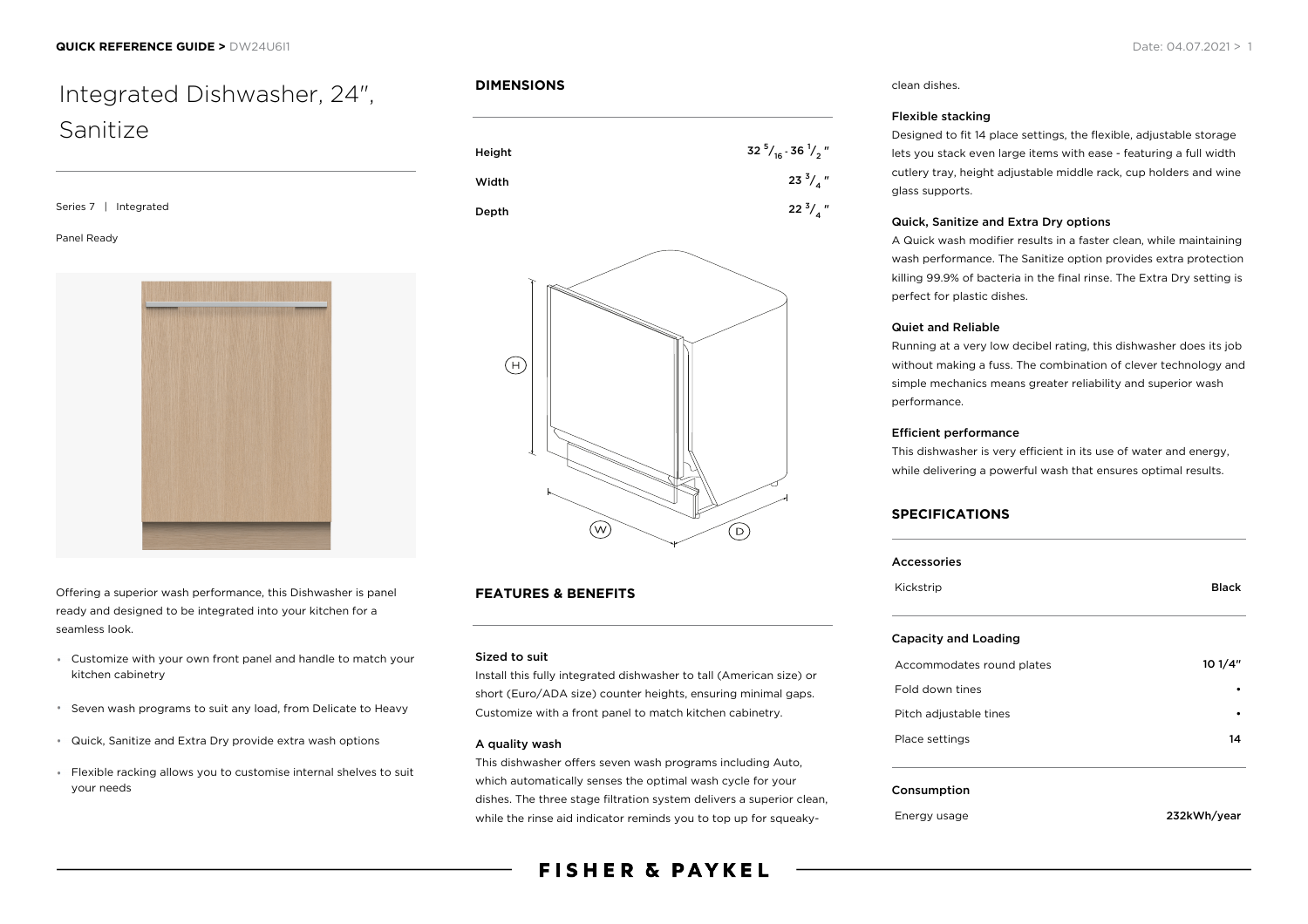# Integrated Dishwasher, 24", Sanitize

Series 7 | Integrated

#### Panel Ready



Offering a superior wash performance, this Dishwasher is panel ready and designed to be integrated into your kitchen for a seamless look.

- Customize with your own front panel and handle to match your kitchen cabinetry
- Seven wash programs to suit any load, from Delicate to Heavy
- Quick, Sanitize and Extra Dry provide extra wash options
- Flexible racking allows you to customise internal shelves to suit your needs

# **DIMENSIONS**





# **FEATURES & BENEFITS**

#### Sized to suit

Install this fully integrated dishwasher to tall (American size) or short (Euro/ADA size) counter heights, ensuring minimal gaps. Customize with a front panel to match kitchen cabinetry.

#### A quality wash

This dishwasher offers seven wash programs including Auto, which automatically senses the optimal wash cycle for your dishes. The three stage filtration system delivers a superior clean, while the rinse aid indicator reminds you to top up for squeaky-

# **FISHER & PAYKEL**

#### clean dishes.

#### Flexible stacking

Designed to fit 14 place settings, the flexible, adjustable storage lets you stack even large items with ease - featuring a full width cutlery tray, height adjustable middle rack, cup holders and wine glass supports.

#### Quick, Sanitize and Extra Dry options

A Quick wash modifier results in a faster clean, while maintaining wash performance. The Sanitize option provides extra protection killing 99.9% of bacteria in the final rinse. The Extra Dry setting is perfect for plastic dishes.

#### Quiet and Reliable

Running at a very low decibel rating, this dishwasher does its job without making a fuss. The combination of clever technology and simple mechanics means greater reliability and superior wash performance.

#### Efficient performance

This dishwasher is very efficient in its use of water and energy, while delivering a powerful wash that ensures optimal results.

#### **SPECIFICATIONS**

| <b>Accessories</b>          |              |
|-----------------------------|--------------|
| Kickstrip                   | <b>Black</b> |
| <b>Capacity and Loading</b> |              |
| Accommodates round plates   | 101/4"       |
| Fold down tines             |              |
| Pitch adjustable tines      |              |
| Place settings              | 14           |
| Consumption                 |              |
| Energy usage                | 232kWh/year  |